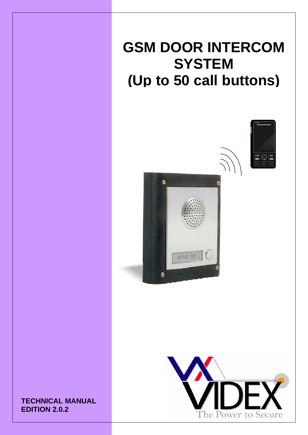# **GSM DOOR INTERCOM SYSTEM (Up to 50 call buttons)**





**TECHNICAL MANUAL EDITION 2.0.2**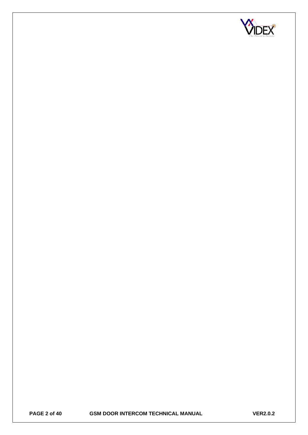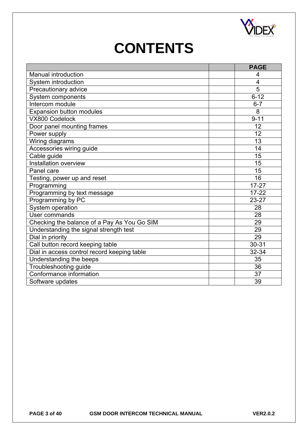

# **CONTENTS**

|                                             | <b>PAGE</b>    |
|---------------------------------------------|----------------|
| <b>Manual introduction</b>                  | 4              |
| System introduction                         | 4              |
| Precautionary advice                        | $\overline{5}$ |
| System components                           | $6 - 12$       |
| Intercom module                             | $6 - 7$        |
| <b>Expansion button modules</b>             | 8              |
| VX800 Codelock                              | $9 - 11$       |
| Door panel mounting frames                  | 12             |
| Power supply                                | 12             |
| Wiring diagrams                             | 13             |
| Accessories wiring guide                    | 14             |
| Cable guide                                 | 15             |
| Installation overview                       | 15             |
| Panel care                                  | 15             |
| Testing, power up and reset                 | 16             |
| Programming                                 | $17 - 27$      |
| Programming by text message                 | $17 - 22$      |
| Programming by PC                           | 23-27          |
| System operation                            | 28             |
| User commands                               | 28             |
| Checking the balance of a Pay As You Go SIM | 29             |
| Understanding the signal strength test      | 29             |
| Dial in priority                            | 29             |
| Call button record keeping table            | $30 - 31$      |
| Dial in access control record keeping table | 32-34          |
| Understanding the beeps                     | 35             |
| Troubleshooting guide                       | 36             |
| Conformance information                     | 37             |
| Software updates                            | 39             |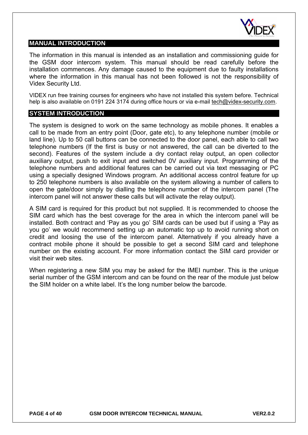

#### **MANUAL INTRODUCTION**

The information in this manual is intended as an installation and commissioning guide for the GSM door intercom system. This manual should be read carefully before the installation commences. Any damage caused to the equipment due to faulty installations where the information in this manual has not been followed is not the responsibility of Videx Security Ltd.

VIDEX run free training courses for engineers who have not installed this system before. Technical help is also available on 0191 224 3174 during office hours or via e-mail tech@videx-security.com.

#### **SYSTEM INTRODUCTION**

The system is designed to work on the same technology as mobile phones. It enables a call to be made from an entry point (Door, gate etc), to any telephone number (mobile or land line). Up to 50 call buttons can be connected to the door panel, each able to call two telephone numbers (If the first is busy or not answered, the call can be diverted to the second). Features of the system include a dry contact relay output, an open collector auxiliary output, push to exit input and switched 0V auxiliary input. Programming of the telephone numbers and additional features can be carried out via text messaging or PC using a specially designed Windows program. An additional access control feature for up to 250 telephone numbers is also available on the system allowing a number of callers to open the gate/door simply by dialling the telephone number of the intercom panel (The intercom panel will not answer these calls but will activate the relay output).

A SIM card is required for this product but not supplied. It is recommended to choose the SIM card which has the best coverage for the area in which the intercom panel will be installed. Both contract and 'Pay as you go' SIM cards can be used but if using a 'Pay as you go' we would recommend setting up an automatic top up to avoid running short on credit and loosing the use of the intercom panel. Alternatively if you already have a contract mobile phone it should be possible to get a second SIM card and telephone number on the existing account. For more information contact the SIM card provider or visit their web sites.

When registering a new SIM you may be asked for the IMEI number. This is the unique serial number of the GSM intercom and can be found on the rear of the module just below the SIM holder on a white label. It's the long number below the barcode.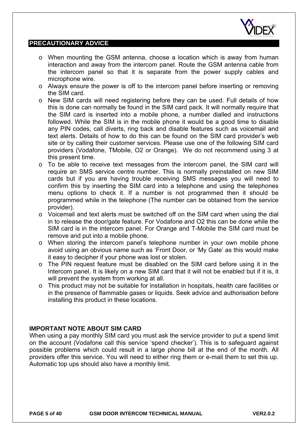

#### **PRECAUTIONARY ADVICE**

- o When mounting the GSM antenna, choose a location which is away from human interaction and away from the intercom panel. Route the GSM antenna cable from the intercom panel so that it is separate from the power supply cables and microphone wire.
- o Always ensure the power is off to the intercom panel before inserting or removing the SIM card.
- o New SIM cards will need registering before they can be used. Full details of how this is done can normally be found in the SIM card pack. It will normally require that the SIM card is inserted into a mobile phone, a number dialled and instructions followed. While the SIM is in the mobile phone it would be a good time to disable any PIN codes, call diverts, ring back and disable features such as voicemail and text alerts. Details of how to do this can be found on the SIM card provider's web site or by calling their customer services. Please use one of the following SIM card providers (Vodafone, TMobile, O2 or Orange). We do not recommend using 3 at this present time.
- o To be able to receive text messages from the intercom panel, the SIM card will require an SMS service centre number. This is normally preinstalled on new SIM cards but if you are having trouble receiving SMS messages you will need to confirm this by inserting the SIM card into a telephone and using the telephones menu options to check it. If a number is not programmed then it should be programmed while in the telephone (The number can be obtained from the service provider).
- o Voicemail and text alerts must be switched off on the SIM card when using the dial in to release the door/gate feature. For Vodafone and O2 this can be done while the SIM card is in the intercom panel. For Orange and T-Mobile the SIM card must be remove and put into a mobile phone.
- o When storing the intercom panel's telephone number in your own mobile phone avoid using an obvious name such as 'Front Door, or 'My Gate' as this would make it easy to decipher if your phone was lost or stolen.
- o The PIN request feature must be disabled on the SIM card before using it in the Intercom panel. It is likely on a new SIM card that it will not be enabled but if it is, it will prevent the system from working at all.
- o This product may not be suitable for installation in hospitals, health care facilities or in the presence of flammable gases or liquids. Seek advice and authorisation before installing this product in these locations.

#### **IMPORTANT NOTE ABOUT SIM CARD**

When using a pay monthly SIM card you must ask the service provider to put a spend limit on the account (Vodafone call this service 'spend checker'). This is to safeguard against possible problems which could result in a large phone bill at the end of the month. All providers offer this service. You will need to either ring them or e-mail them to set this up. Automatic top ups should also have a monthly limit.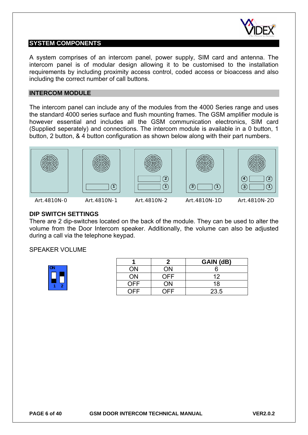

#### **SYSTEM COMPONENTS**

A system comprises of an intercom panel, power supply, SIM card and antenna. The intercom panel is of modular design allowing it to be customised to the installation requirements by including proximity access control, coded access or bioaccess and also including the correct number of call buttons.

#### **INTERCOM MODULE**

The intercom panel can include any of the modules from the 4000 Series range and uses the standard 4000 series surface and flush mounting frames. The GSM amplifier module is however essential and includes all the GSM communication electronics, SIM card (Supplied seperately) and connections. The intercom module is available in a 0 button, 1 button, 2 button, & 4 button configuration as shown below along with their part numbers.



#### **DIP SWITCH SETTINGS**

There are 2 dip-switches located on the back of the module. They can be used to alter the volume from the Door Intercom speaker. Additionally, the volume can also be adjusted during a call via the telephone keypad.

SPEAKER VOLUME

**1 2** 

**ON** 

|     |     | GAIN (dB) |
|-----|-----|-----------|
|     | ٦N  |           |
|     | ∩FF | 12        |
| OFF | DК  | 18        |
| )EE |     | 23.5      |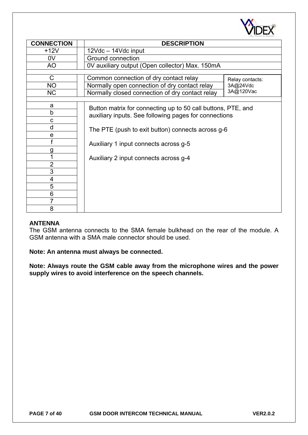

| <b>CONNECTION</b> | <b>DESCRIPTION</b>                                           |  |
|-------------------|--------------------------------------------------------------|--|
| $+12V$            | 12Vdc - 14Vdc input                                          |  |
| 0V                | Ground connection                                            |  |
| <b>AO</b>         | 0V auxiliary output (Open collector) Max. 150mA              |  |
|                   |                                                              |  |
| $\mathsf{C}$      | Common connection of dry contact relay<br>Relay contacts:    |  |
| <b>NO</b>         | Normally open connection of dry contact relay<br>3A@24Vdc    |  |
| <b>NC</b>         | 3A@120Vac<br>Normally closed connection of dry contact relay |  |
|                   |                                                              |  |
| a                 | Button matrix for connecting up to 50 call buttons, PTE, and |  |
| b                 | auxiliary inputs. See following pages for connections        |  |
| C                 |                                                              |  |
| d                 | The PTE (push to exit button) connects across g-6            |  |
| e                 |                                                              |  |
|                   | Auxiliary 1 input connects across g-5                        |  |
| g                 |                                                              |  |
|                   | Auxiliary 2 input connects across g-4                        |  |
| $\overline{2}$    |                                                              |  |
| 3                 |                                                              |  |
| 4                 |                                                              |  |
| 5                 |                                                              |  |
| 6                 |                                                              |  |
| 7                 |                                                              |  |
| 8                 |                                                              |  |

#### **ANTENNA**

The GSM antenna connects to the SMA female bulkhead on the rear of the module. A GSM antenna with a SMA male connector should be used.

**Note: An antenna must always be connected.** 

**Note: Always route the GSM cable away from the microphone wires and the power supply wires to avoid interference on the speech channels.**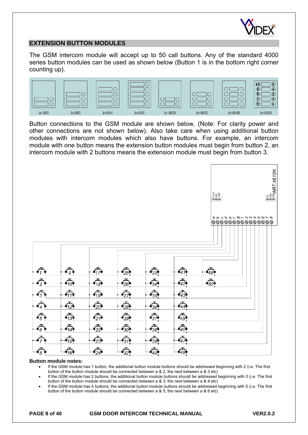

#### **EXTENSION BUTTON MODULES**

The GSM intercom module will accept up to 50 call buttons. Any of the standard 4000 series button modules can be used as shown below (Button 1 is in the bottom right corner counting up).



Button connections to the GSM module are shown below. (Note: For clarity power and other connections are not shown below). Also take care when using additional button modules with intercom modules which also have buttons. For example, an intercom module with one button means the extension button modules must begin from button 2, an intercom module with 2 buttons means the extension module must begin from button 3.



#### **Button module notes:**

- If the GSM module has 1 button, the additional button module buttons should be addressed beginning with 2 (i.e. The first button of the button module should be connected between a & 2, the next between a & 3 etc)
- If the GSM module has 2 buttons, the additional button module buttons should be addressed beginning with 3 (i.e. The first button of the button module should be connected between a & 3, the next between a & 4 etc)
- If the GSM module has 4 buttons, the additional button module buttons should be addressed beginning with 5 (i.e. The first button of the button module should be connected between a & 5, the next between a & 6 etc)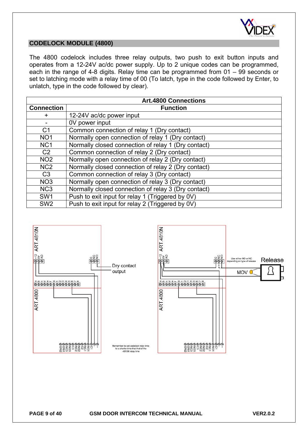

#### **CODELOCK MODULE (4800)**

The 4800 codelock includes three relay outputs, two push to exit button inputs and operates from a 12-24V ac/dc power supply. Up to 2 unique codes can be programmed, each in the range of 4-8 digits. Relay time can be programmed from 01 – 99 seconds or set to latching mode with a relay time of 00 (To latch, type in the code followed by Enter, to unlatch, type in the code followed by clear).

| <b>Art.4800 Connections</b> |                                                     |
|-----------------------------|-----------------------------------------------------|
| <b>Connection</b>           | <b>Function</b>                                     |
| ٠                           | 12-24V ac/dc power input                            |
|                             | 0V power input                                      |
| C <sub>1</sub>              | Common connection of relay 1 (Dry contact)          |
| NO <sub>1</sub>             | Normally open connection of relay 1 (Dry contact)   |
| NC <sub>1</sub>             | Normally closed connection of relay 1 (Dry contact) |
| C <sub>2</sub>              | Common connection of relay 2 (Dry contact)          |
| NO <sub>2</sub>             | Normally open connection of relay 2 (Dry contact)   |
| NC <sub>2</sub>             | Normally closed connection of relay 2 (Dry contact) |
| C <sub>3</sub>              | Common connection of relay 3 (Dry contact)          |
| NO <sub>3</sub>             | Normally open connection of relay 3 (Dry contact)   |
| N <sub>C</sub> 3            | Normally closed connection of relay 3 (Dry contact) |
| SW <sub>1</sub>             | Push to exit input for relay 1 (Triggered by 0V)    |
| SW <sub>2</sub>             | Push to exit input for relay 2 (Triggered by 0V)    |

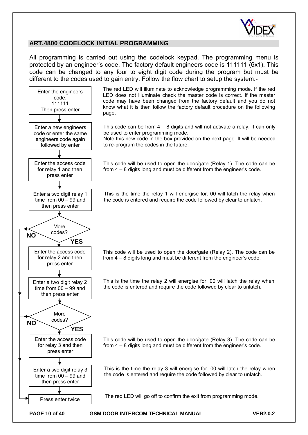

#### **ART.4800 CODELOCK INITIAL PROGRAMMING**

All programming is carried out using the codelock keypad. The programming menu is protected by an engineer's code. The factory default engineers code is 111111 (6x1). This code can be changed to any four to eight digit code during the program but must be different to the codes used to gain entry. Follow the flow chart to setup the system:-

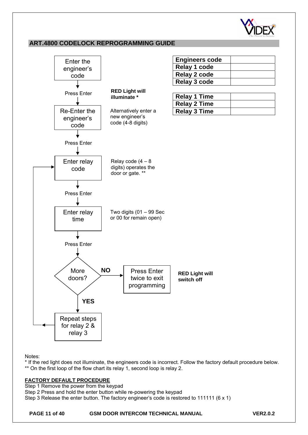

#### **ART.4800 CODELOCK REPROGRAMMING GUIDE**



Notes:

If the red light does not illuminate, the engineers code is incorrect. Follow the factory default procedure below. \*\* On the first loop of the flow chart its relay 1, second loop is relay 2.

#### **FACTORY DEFAULT PROCEDURE**

Step 1 Remove the power from the keypad Step 2 Press and hold the enter button while re-powering the keypad Step 3 Release the enter button. The factory engineer's code is restored to 111111 (6 x 1)

#### PAGE 11 of 40 **GSM DOOR INTERCOM TECHNICAL MANUAL VER2.0.2**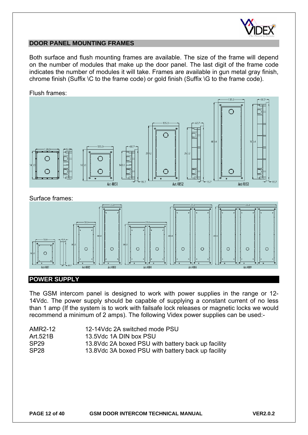

#### **DOOR PANEL MOUNTING FRAMES**

Both surface and flush mounting frames are available. The size of the frame will depend on the number of modules that make up the door panel. The last digit of the frame code indicates the number of modules it will take. Frames are available in gun metal gray finish, chrome finish (Suffix \C to the frame code) or gold finish (Suffix \G to the frame code).



The GSM intercom panel is designed to work with power supplies in the range or 12- 14Vdc. The power supply should be capable of supplying a constant current of no less than 1 amp (If the system is to work with failsafe lock releases or magnetic locks we would recommend a minimum of 2 amps). The following Videx power supplies can be used:-

| AMR2-12          | 12-14Vdc 2A switched mode PSU                      |
|------------------|----------------------------------------------------|
| Art.521B         | 13.5Vdc 1A DIN box PSU                             |
| SP <sub>29</sub> | 13.8Vdc 2A boxed PSU with battery back up facility |
| SP <sub>28</sub> | 13.8Vdc 3A boxed PSU with battery back up facility |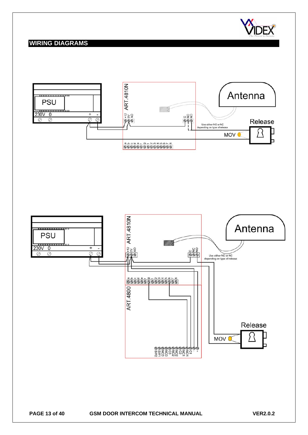

## **WIRING DIAGRAMS**

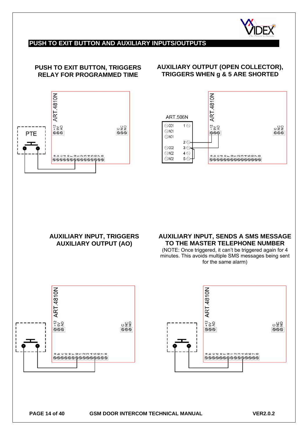

### **PUSH TO EXIT BUTTON AND AUXILIARY INPUTS/OUTPUTS**

**PUSH TO EXIT BUTTON, TRIGGERS RELAY FOR PROGRAMMED TIME** 







#### **AUXILIARY INPUT, TRIGGERS AUXILIARY OUTPUT (AO)**

# **AUXILIARY INPUT, SENDS A SMS MESSAGE TO THE MASTER TELEPHONE NUMBER**

(NOTE: Once triggered, it can't be triggered again for 4 minutes. This avoids multiple SMS messages being sent for the same alarm)



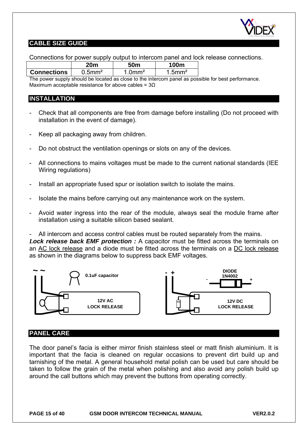

### **CABLE SIZE GUIDE**

Connections for power supply output to intercom panel and lock release connections.

|                    | 20m | 50m                      | 100m    |
|--------------------|-----|--------------------------|---------|
| <b>Connections</b> |     | $\Omega$ mm <sup>2</sup> | $5mm^2$ |

The power supply should be located as close to the intercom panel as possible for best performance. Maximum acceptable resistance for above cables =  $3\Omega$ 

# **INSTALLATION**

- Check that all components are free from damage before installing (Do not proceed with installation in the event of damage).
- Keep all packaging away from children.
- Do not obstruct the ventilation openings or slots on any of the devices.
- All connections to mains voltages must be made to the current national standards (IEE Wiring regulations)
- Install an appropriate fused spur or isolation switch to isolate the mains.
- Isolate the mains before carrying out any maintenance work on the system.
- Avoid water ingress into the rear of the module, always seal the module frame after installation using a suitable silicon based sealant.

All intercom and access control cables must be routed separately from the mains. **Lock release back EMF protection :** A capacitor must be fitted across the terminals on an AC lock release and a diode must be fitted across the terminals on a DC lock release as shown in the diagrams below to suppress back EMF voltages.



#### **PANEL CARE**

The door panel's facia is either mirror finish stainless steel or matt finish aluminium. It is important that the facia is cleaned on regular occasions to prevent dirt build up and tarnishing of the metal. A general household metal polish can be used but care should be taken to follow the grain of the metal when polishing and also avoid any polish build up around the call buttons which may prevent the buttons from operating correctly.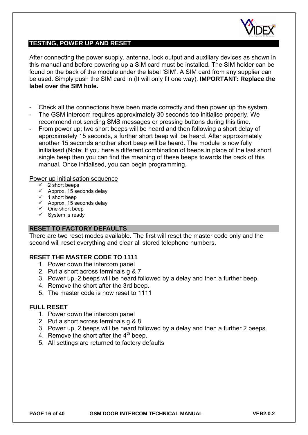

#### **TESTING, POWER UP AND RESET**

After connecting the power supply, antenna, lock output and auxiliary devices as shown in this manual and before powering up a SIM card must be installed. The SIM holder can be found on the back of the module under the label 'SIM'. A SIM card from any supplier can be used. Simply push the SIM card in (It will only fit one way). **IMPORTANT: Replace the label over the SIM hole.** 

- Check all the connections have been made correctly and then power up the system.
- The GSM intercom requires approximately 30 seconds too initialise properly. We recommend not sending SMS messages or pressing buttons during this time.
- From power up; two short beeps will be heard and then following a short delay of approximately 15 seconds, a further short beep will be heard. After approximately another 15 seconds another short beep will be heard. The module is now fully initialised (Note: If you here a different combination of beeps in place of the last short single beep then you can find the meaning of these beeps towards the back of this manual. Once initialised, you can begin programming.

Power up initialisation sequence

- 2 short beeps
- $\checkmark$  Approx. 15 seconds delay
- $\checkmark$  1 short beep
- $\checkmark$  Approx. 15 seconds delay
- $\checkmark$  One short beep
- $\checkmark$  System is ready

#### **RESET TO FACTORY DEFAULTS**

There are two reset modes available. The first will reset the master code only and the second will reset everything and clear all stored telephone numbers.

#### **RESET THE MASTER CODE TO 1111**

- 1. Power down the intercom panel
- 2. Put a short across terminals g & 7
- 3. Power up, 2 beeps will be heard followed by a delay and then a further beep.
- 4. Remove the short after the 3rd beep.
- 5. The master code is now reset to 1111

#### **FULL RESET**

- 1. Power down the intercom panel
- 2. Put a short across terminals g & 8
- 3. Power up, 2 beeps will be heard followed by a delay and then a further 2 beeps.
- 4. Remove the short after the  $4<sup>th</sup>$  beep.
- 5. All settings are returned to factory defaults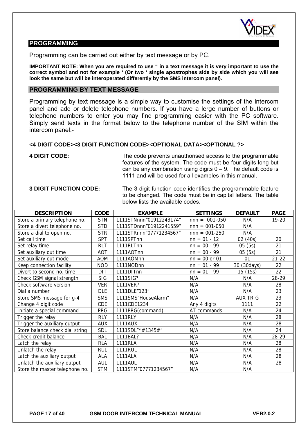

#### **PROGRAMMING**

Programming can be carried out either by text message or by PC.

**IMPORTANT NOTE: When you are required to use " in a text message it is very important to use the correct symbol and not for example ' (Or two ' single apostrophes side by side which you will see look the same but will be interoperated differently by the SMS intercom panel).** 

#### **PROGRAMMING BY TEXT MESSAGE**

Programming by text message is a simple way to customise the settings of the intercom panel and add or delete telephone numbers. If you have a lerge number of buttons or telephone numbers to enter you may find programming easier with the PC software. Simply send texts in the format below to the telephone number of the SIM within the intercom panel:-

#### **<4 DIGIT CODE><3 DIGIT FUNCTION CODE><OPTIONAL DATA><OPTIONAL ?>**

**4 DIGIT CODE:** The code prevents unauthorised access to the programmable features of the system. The code must be four digits long but can be any combination using digits  $0 - 9$ . The default code is 1111 and will be used for all examples in this manual.

**3 DIGIT FUNCTION CODE:** The 3 digit function code identifies the programmable feature to be changed. The code must be in capital letters. The table below lists the available codes.

| <b>DESCRIPTION</b>              | <b>CODE</b> | <b>EXAMPLE</b>          | <b>SETTINGS</b>    | <b>DEFAULT</b>  | <b>PAGE</b> |
|---------------------------------|-------------|-------------------------|--------------------|-----------------|-------------|
| Store a primary telephone no.   | <b>STN</b>  | 1111STNnnn"01912243174" | 001-050<br>$nnn =$ | N/A             | 19-20       |
| Store a divert telephone no.    | <b>STD</b>  | 1111STDnnn"01912241559" | $nnn = 001-050$    | N/A             |             |
| Store a dial to open no.        | <b>STR</b>  | 1111STRnnn"07771234567" | $nnn = 001-250$    | N/A             |             |
| Set call time                   | <b>SPT</b>  | 1111SPTnn               | $nn = 01 - 12$     | 02 (40s)        | 20          |
| Set relay time                  | <b>RLT</b>  | 1111RLTnn               | $nn = 00 - 99$     | 05(5s)          | 21          |
| Set auxiliary out time          | <b>AOT</b>  | 1111AOTnn               | $nn = 00 - 99$     | 05(5s)          | 21          |
| Set auxiliary out mode          | <b>AOM</b>  | 1111AOMnn               | $nn = 00$ or 01    | 01              | $21 - 22$   |
| Keep connection facility        | <b>NOD</b>  | 1111NODnn               | $nn = 01 - 99$     | 30 (30days)     | 22          |
| Divert to second no. time       | DIT         | 1111DITnn               | $nn = 01 - 99$     | 15 (15s)        | 22          |
| Check GSM signal strength       | <b>SIG</b>  | 1111SIG?                | N/A                | N/A             | 28-29       |
| Check software version          | <b>VER</b>  | 1111VER?                | N/A                | N/A             | 28          |
| Dial a number                   | <b>DLE</b>  | 1111DLE"123"            | N/A                | N/A             | 23          |
| Store SMS message for g-4       | <b>SMS</b>  | 1111SMS"HouseAlarm"     | N/A                | <b>AUX TRIG</b> | 23          |
| Change 4 digit code             | <b>CDE</b>  | 1111CDE1234             | Any 4 digits       | 1111            | 22          |
| Initiate a special command      | <b>PRG</b>  | 1111PRG(command)        | AT commands        | N/A             | 24          |
| Trigger the relay               | <b>RLY</b>  | 1111RLY                 | N/A                | N/A             | 28          |
| Trigger the auxiliary output    | <b>AUX</b>  | 1111AUX                 | N/A                | N/A             | 28          |
| Store balance check dial string | <b>SDL</b>  | 1111SDL"*#1345#"        | N/A                | N/A             | 24          |
| Check credit balance            | BAL         | 1111BAL?                | N/A                | N/A             | 28-29       |
| Latch the relay                 | <b>RLA</b>  | <b>1111RLA</b>          | N/A                | N/A             | 28          |
| Unlatch the relay               | <b>RUL</b>  | <b>1111RUL</b>          | N/A                | N/A             | 28          |
| Latch the auxiliary output      | ALA         | <b>1111ALA</b>          | N/A                | N/A             | 28          |
| Unlatch the auxiliary output    | <b>AUL</b>  | <b>1111AUL</b>          | N/A                | N/A             | 28          |
| Store the master telephone no.  | <b>STM</b>  | 1111STM"07771234567"    | N/A                | N/A             |             |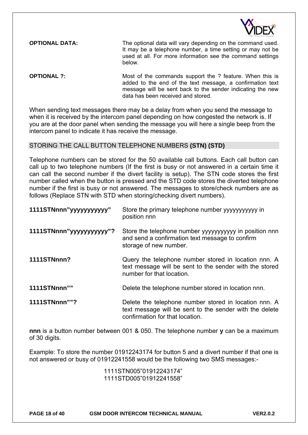

**OPTIONAL DATA:** The optional data will vary depending on the command used. It may be a telephone number, a time setting or may not be used at all. For more information see the command settings below.

#### **OPTIONAL ?:** Most of the commands support the ? feature. When this is added to the end of the text message, a confirmation text message will be sent back to the sender indicating the new data has been received and stored.

When sending text messages there may be a delay from when you send the message to when it is received by the intercom panel depending on how congested the network is. If you are at the door panel when sending the message you will here a single beep from the intercom panel to indicate it has receive the message.

#### STORING THE CALL BUTTON TELEPHONE NUMBERS **(STN) (STD)**

Telephone numbers can be stored for the 50 available call buttons. Each call button can call up to two telephone numbers (If the first is busy or not answered in a certain time it can call the second number if the divert facility is setup). The STN code stores the first number called when the button is pressed and the STD code stores the diverted telephone number if the first is busy or not answered. The messages to store/check numbers are as follows (Replace STN with STD when storing/checking divert numbers).

| 1111STNnnn"yyyyyyyyyy"   | Store the primary telephone number yyyyyyyyyy in<br>position nnn                                                                                   |
|--------------------------|----------------------------------------------------------------------------------------------------------------------------------------------------|
| 1111STNnnn"yyyyyyyyyyy"? | Store the telephone number yyvyyyyyyy in position nnn<br>and send a confirmation text message to confirm<br>storage of new number.                 |
| 1111STNnnn?              | Query the telephone number stored in location nnn. A<br>text message will be sent to the sender with the stored<br>number for that location.       |
| <b>1111STNnnn</b> ""     | Delete the telephone number stored in location nnn.                                                                                                |
| 1111STNnnn""?            | Delete the telephone number stored in location nnn. A<br>text message will be sent to the sender with the delete<br>confirmation for that location |

**nnn** is a button number between 001 & 050. The telephone number **y** can be a maximum of 30 digits.

Example: To store the number 01912243174 for button 5 and a divert number if that one is not answered or busy of 01912241558 would be the following two SMS messages:-

> 1111STN005"01912243174" 1111STD005"01912241558"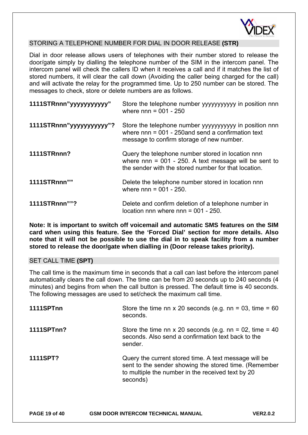

#### STORING A TELEPHONE NUMBER FOR DIAL IN DOOR RELEASE **(STR)**

Dial in door release allows users of telephones with their number stored to release the door/gate simply by dialling the telephone number of the SIM in the intercom panel. The intercom panel will check the callers ID when it receives a call and if it matches the list of stored numbers, it will clear the call down (Avoiding the caller being charged for the call) and will activate the relay for the programmed time. Up to 250 number can be stored. The messages to check, store or delete numbers are as follows.

| 1111STRnnn"yyyyyyyyyy"  | Store the telephone number yyyyyyyyyy in position nnn<br>where $nnn = 001 - 250$                                                                                      |
|-------------------------|-----------------------------------------------------------------------------------------------------------------------------------------------------------------------|
| 1111STRnnn"yyyyyyyyyy"? | Store the telephone number yyvyyyyyyy in position nnn<br>where $nnn = 001 - 250$ and send a confirmation text<br>message to confirm storage of new number.            |
| 1111STRnnn?             | Query the telephone number stored in location nnn<br>where $nnn = 001 - 250$ . A text message will be sent to<br>the sender with the stored number for that location. |
| <b>1111STRnnn</b> ""    | Delete the telephone number stored in location nnn<br>where $nnn = 001 - 250$ .                                                                                       |
| 1111STRnnn""?           | Delete and confirm deletion of a telephone number in<br>location nnn where nnn = 001 - 250.                                                                           |

**Note: It is important to switch off voicemail and automatic SMS features on the SIM card when using this feature. See the 'Forced Dial' section for more details. Also note that it will not be possible to use the dial in to speak facility from a number stored to release the door/gate when dialling in (Door release takes priority).** 

#### SET CALL TIME **(SPT)**

The call time is the maximum time in seconds that a call can last before the intercom panel automatically clears the call down. The time can be from 20 seconds up to 240 seconds (4 minutes) and begins from when the call button is pressed. The default time is 40 seconds. The following messages are used to set/check the maximum call time.

| 1111SPTnn         | Store the time nn x 20 seconds (e.g. nn = 03, time = 60<br>seconds.                                                                                                             |
|-------------------|---------------------------------------------------------------------------------------------------------------------------------------------------------------------------------|
| <b>1111SPTnn?</b> | Store the time nn x 20 seconds (e.g. nn = 02, time = 40<br>seconds. Also send a confirmation text back to the<br>sender.                                                        |
| <b>1111SPT?</b>   | Query the current stored time. A text message will be<br>sent to the sender showing the stored time. (Remember<br>to multiple the number in the received text by 20<br>seconds) |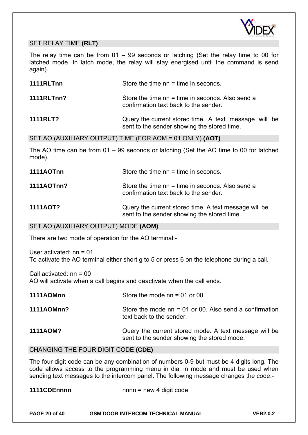

#### SET RELAY TIME **(RLT)**

The relay time can be from 01 – 99 seconds or latching (Set the relay time to 00 for latched mode. In latch mode, the relay will stay energised until the command is send again).

| 1111RLTnn         | Store the time $nn = time$ in seconds.                                                               |
|-------------------|------------------------------------------------------------------------------------------------------|
| <b>1111RLTnn?</b> | Store the time nn = time in seconds. Also send a<br>confirmation text back to the sender.            |
| <b>1111RLT?</b>   | Query the current stored time. A text message will be<br>sent to the sender showing the stored time. |
|                   | SET AO (AUXILIARY OUTPUT) TIME (FOR AOM = 01 ONLY) (AOT)                                             |

The AO time can be from 01 – 99 seconds or latching (Set the AO time to 00 for latched mode).

sent to the sender showing the stored time.

| <b>1111AOTnn</b> | Store the time $nn = time$ in seconds.                                                    |
|------------------|-------------------------------------------------------------------------------------------|
| 1111A0Tnn?       | Store the time nn = time in seconds. Also send a<br>confirmation text back to the sender. |
| 1111AOT?         | Query the current stored time. A text message will be                                     |

#### SET AO (AUXILIARY OUTPUT) MODE **(AOM)**

There are two mode of operation for the AO terminal:-

User activated: nn = 01 To activate the AO terminal either short g to 5 or press 6 on the telephone during a call.

Call activated: nn = 00 AO will activate when a call begins and deactivate when the call ends.

| 1111AOMnn         | Store the mode $nn = 01$ or 00.                                                                      |
|-------------------|------------------------------------------------------------------------------------------------------|
| <b>1111AOMnn?</b> | Store the mode $nn = 01$ or 00. Also send a confirmation<br>text back to the sender.                 |
| 1111AOM?          | Query the current stored mode. A text message will be<br>sent to the sender showing the stored mode. |

#### CHANGING THE FOUR DIGIT CODE **(CDE)**

The four digit code can be any combination of numbers 0-9 but must be 4 digits long. The code allows access to the programming menu in dial in mode and must be used when sending text messages to the intercom panel. The following message changes the code:-

**1111CDEnnnn nnnn** = new 4 digit code

PAGE 20 of 40 **GSM DOOR INTERCOM TECHNICAL MANUAL VER2.0.2**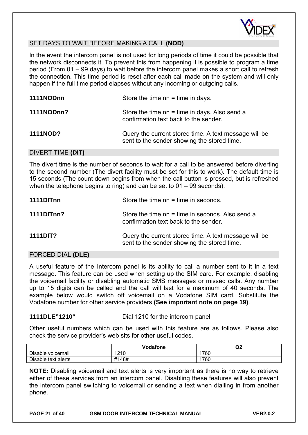

### SET DAYS TO WAIT BEFORE MAKING A CALL **(NOD)**

In the event the intercom panel is not used for long periods of time it could be possible that the network disconnects it. To prevent this from happening it is possible to program a time period (From 01 – 99 days) to wait before the intercom panel makes a short call to refresh the connection. This time period is reset after each call made on the system and will only happen if the full time period elapses without any incoming or outgoing calls.

| 1111NODnn  | Store the time $nn = time$ in days.                                                                  |
|------------|------------------------------------------------------------------------------------------------------|
| 1111NODnn? | Store the time nn = time in days. Also send a<br>confirmation text back to the sender.               |
| 1111NOD?   | Query the current stored time. A text message will be<br>sent to the sender showing the stored time. |

#### DIVERT TIME **(DIT)**

The divert time is the number of seconds to wait for a call to be answered before diverting to the second number (The divert facility must be set for this to work). The default time is 15 seconds (The count down begins from when the call button is pressed, but is refreshed when the telephone begins to ring) and can be set to 01 – 99 seconds).

| 1111DITnn       | Store the time $nn = time$ in seconds.                                                               |
|-----------------|------------------------------------------------------------------------------------------------------|
| 1111DITnn?      | Store the time nn = time in seconds. Also send a<br>confirmation text back to the sender.            |
| <b>1111DIT?</b> | Query the current stored time. A text message will be<br>sent to the sender showing the stored time. |

#### FORCED DIAL **(DLE)**

A useful feature of the Intercom panel is its ability to call a number sent to it in a text message. This feature can be used when setting up the SIM card. For example, disabling the voicemail facility or disabling automatic SMS messages or missed calls. Any number up to 15 digits can be called and the call will last for a maximum of 40 seconds. The example below would switch off voicemail on a Vodafone SIM card. Substitute the Vodafone number for other service providers **(See important note on page 19)**.

#### **1111DLE"1210"** Dial 1210 for the intercom panel

Other useful numbers which can be used with this feature are as follows. Please also check the service provider's web sits for other useful codes.

|                     | Vodafone | ົ<br>◡▵ |
|---------------------|----------|---------|
| Disable voicemail   | 1210     | 1760    |
| Disable text alerts | #148#    | '760    |

**NOTE:** Disabling voicemail and text alerts is very important as there is no way to retrieve either of these services from an intercom panel. Disabling these features will also prevent the intercom panel switching to voicemail or sending a text when dialling in from another phone.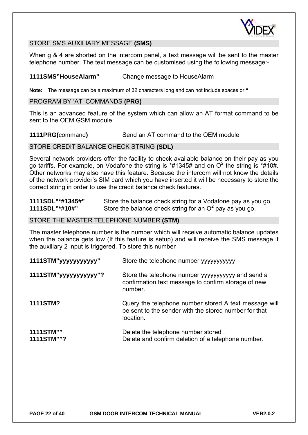

#### STORE SMS AUXILIARY MESSAGE **(SMS)**

When g & 4 are shorted on the intercom panel, a text message will be sent to the master telephone number. The text message can be customised using the following message:-

#### **1111SMS"HouseAlarm"** Change message to HouseAlarm

**Note:** The message can be a maximum of 32 characters long and can not include spaces or **"**.

#### PROGRAM BY 'AT' COMMANDS **(PRG)**

This is an advanced feature of the system which can allow an AT format command to be sent to the OEM GSM module.

**1111PRG(**command**)** Send an AT command to the OEM module

#### STORE CREDIT BALANCE CHECK STRING **(SDL)**

Several network providers offer the facility to check available balance on their pay as you go tariffs. For example, on Vodafone the string is  $*#1345#$  and on O<sup>2</sup> the string is  $*#10#$ . Other networks may also have this feature. Because the intercom will not know the details of the network provider's SIM card which you have inserted it will be necessary to store the correct string in order to use the credit balance check features.

| 1111SDL"*#1345#" | Store the balance check string for a Vodafone pay as you go. |
|------------------|--------------------------------------------------------------|
| 1111SDL"*#10#"   | Store the balance check string for an $O^2$ pay as you go.   |

#### STORE THE MASTER TELEPHONE NUMBER **(STM)**

The master telephone number is the number which will receive automatic balance updates when the balance gets low (If this feature is setup) and will receive the SMS message if the auxiliary 2 input is triggered. To store this number

| 1111STM"yyyyyyyyyy"     | Store the telephone number yyyyyyyyyy                                                                                       |
|-------------------------|-----------------------------------------------------------------------------------------------------------------------------|
| 1111STM" ууууууууууу"?  | Store the telephone number yyyyyyyyyyy and send a<br>confirmation text message to confirm storage of new<br>number.         |
| 1111STM?                | Query the telephone number stored A text message will<br>be sent to the sender with the stored number for that<br>location. |
| 1111STM""<br>1111STM""? | Delete the telephone number stored.<br>Delete and confirm deletion of a telephone number.                                   |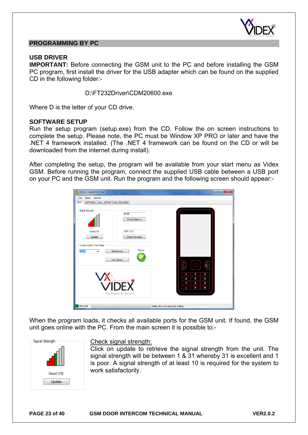

#### **PROGRAMMING BY PC**

#### **USB DRIVER**

**IMPORTANT:** Before connecting the GSM unit to the PC and before installing the GSM PC program, first install the driver for the USB adapter which can be found on the supplied CD in the following folder:-

D:\FT232Driver\CDM20600.exe

Where D is the letter of your CD drive.

#### **SOFTWARE SETUP**

Run the setup program (setup.exe) from the CD. Follow the on screen instructions to complete the setup. Please note, the PC must be Window XP PRO or later and have the .NET 4 framework installed. (The .NET 4 framework can be found on the CD or will be downloaded from the internet during install).

After completing the setup, the program will be available from your start menu as Videx GSM. Before running the program, connect the supplied USB cable between a USB port on your PC and the GSM unit. Run the program and the following screen should appear:-

| $ - 0 $<br>$\mathbf{x}$<br><b>WE VIDEX GSM INTERCOM</b>                                                                                                                                                                                                                                                                                                     |
|-------------------------------------------------------------------------------------------------------------------------------------------------------------------------------------------------------------------------------------------------------------------------------------------------------------------------------------------------------------|
| Data About<br><b>Eile</b>                                                                                                                                                                                                                                                                                                                                   |
| <b>MAIN</b><br>SETTINGS CALL SETUP DIAL TO OPEN                                                                                                                                                                                                                                                                                                             |
| Signal Strength<br>#4.80.<br><b>Check Balance</b><br><b>VER 1.0.2</b><br><b>Good (19)</b><br><b>Check Firmware</b><br>Update<br><b>Communication Port Setup</b><br><b>Status</b><br>Refresh List<br>COM3<br>۰<br><b>Auto Detect</b><br>$\widehat{\mathbf{P}}$<br>Ę<br>ß.<br>2<br>5<br>6<br>Δ<br>VIDEX<br>8<br>9<br>Ħ<br>0<br>$\star$<br>The Power to Secure |
| <b>ON LINE</b><br>Videx device found and online<br>. 77                                                                                                                                                                                                                                                                                                     |

When the program loads, it checks all available ports for the GSM unit. If found, the GSM unit goes online with the PC. From the main screen it is possible to:-



#### Check signal strength:

Click on update to retrieve the signal strength from the unit. The signal strength will be between 1 & 31 whereby 31 is excellent and 1 is poor. A signal strength of at least 10 is required for the system to work satisfactorily.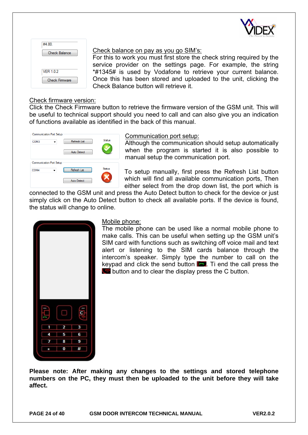

| #4.80.                |  |
|-----------------------|--|
| <b>Check Balance</b>  |  |
|                       |  |
| <b>VER 1.0.2</b>      |  |
| <b>Check Firmware</b> |  |
|                       |  |

#### Check balance on pay as you go SIM's:

For this to work you must first store the check string required by the service provider on the settings page. For example, the string \*#1345# is used by Vodafone to retrieve your current balance. Once this has been stored and uploaded to the unit, clicking the Check Balance button will retrieve it.

### Check firmware version:

Click the Check Firmware button to retrieve the firmware version of the GSM unit. This will be useful to technical support should you need to call and can also give you an indication of functions available as identified in the back of this manual.

| COM <sub>3</sub>         | Refresh List       | Status        |  |
|--------------------------|--------------------|---------------|--|
|                          | <b>Auto Detect</b> |               |  |
| Communication Port Setup |                    |               |  |
| COM4                     | Refresh List       | <b>Status</b> |  |
|                          | <b>Auto Detect</b> |               |  |

#### Communication port setup:

Although the communication should setup automatically when the program is started it is also possible to manual setup the communication port.

To setup manually, first press the Refresh List button which will find all available communication ports, Then either select from the drop down list, the port which is

connected to the GSM unit and press the Auto Detect button to check for the device or just simply click on the Auto Detect button to check all available ports. If the device is found, the status will change to online.



#### Mobile phone:

The mobile phone can be used like a normal mobile phone to make calls. This can be useful when setting up the GSM unit's SIM card with functions such as switching off voice mail and text alert or listening to the SIM cards balance through the intercom's speaker. Simply type the number to call on the keypad and click the send button  $\Box$ . Ti end the call press the button and to clear the display press the C button.

**Please note: After making any changes to the settings and stored telephone numbers on the PC, they must then be uploaded to the unit before they will take affect.**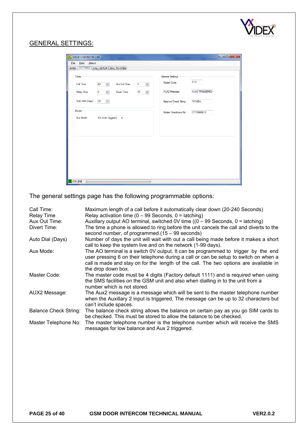

# GENERAL SETTINGS:

| VIDEX GSM INTERCOM |                                    |                      |                                      |                              |                       | $\mathbf{x}$<br>a C |
|--------------------|------------------------------------|----------------------|--------------------------------------|------------------------------|-----------------------|---------------------|
| Data About<br>Eile |                                    |                      |                                      |                              |                       |                     |
| <b>MAIN</b>        | SETTINGS CALL SETUP   DIAL TO OPEN |                      |                                      |                              |                       |                     |
| <b>Times</b>       |                                    |                      |                                      | <b>General Settings</b>      | 1111                  |                     |
| Call Time:         | 40<br>÷                            | Aux Out Time:        | $\frac{\triangle}{\mathbf{v}}$<br>5  | Master Code:                 |                       |                     |
| Relay Time:        | 5<br>$\div$                        | Divert Time:         | $\frac{\triangle}{\mathbf{v}}$<br>15 | <b>AUX2 Message</b>          | <b>AUX2 TRIGGERED</b> |                     |
| Auto Dial (Days):  | $\div$<br>30                       |                      |                                      | <b>Balance Check String:</b> | *#1345#               |                     |
| <b>Modes</b>       |                                    |                      |                                      | Master Telephone No:         | 07774949815           |                     |
| Aux Mode:          | On when triggered                  | $\blacktriangledown$ |                                      |                              |                       |                     |
|                    |                                    |                      |                                      |                              |                       |                     |
|                    |                                    |                      |                                      |                              |                       |                     |
|                    |                                    |                      |                                      |                              |                       |                     |
|                    |                                    |                      |                                      |                              |                       |                     |
| <b>ON LINE</b>     |                                    |                      |                                      |                              |                       | зă                  |

The general settings page has the following programmable options:

| Call Time:<br><b>Relay Time</b> | Maximum length of a call before it automatically clear down (20-240 Seconds)<br>Relay activation time $(0 - 99$ Seconds, $0 =$ latching)                                                                                                                                                 |
|---------------------------------|------------------------------------------------------------------------------------------------------------------------------------------------------------------------------------------------------------------------------------------------------------------------------------------|
| Aux Out Time:<br>Divert Time:   | Auxillary output AO terminal, switched 0V time $((0 - 99$ Seconds, $0 =$ latching)<br>The time a phone is allowed to ring before the unit cancels the call and diverts to the<br>second number, of programmed.(15 – 99 seconds)                                                          |
| Auto Dial (Days)                | Number of days the unit will wait with out a call being made before it makes a short<br>call to keep the system live and on the network (1-99 days).                                                                                                                                     |
| Aux Mode:                       | The AO terminal is a switch 0V output. It can be programmed to trigger by the end<br>user pressing 6 on their telephone during a call or can be setup to switch on when a<br>call is made and stay on for the length of the call. The two options are available in<br>the drop down box. |
| Master Code:                    | The master code must be 4 digits (Factory default 1111) and is required when using<br>the SMS facilities on the GSM unit and also when dialling in to the unit from a<br>number which is not stored.                                                                                     |
| AUX2 Message:                   | The Aux2 message is a message which will be sent to the master telephone number<br>when the Auxillary 2 input is triggered. The message can be up to 32 characters but<br>can't include spaces.                                                                                          |
| <b>Balance Check String:</b>    | The balance check string allows the balance on certain pay as you go SIM cards to<br>be checked. This must be stored to allow the balance to be checked.                                                                                                                                 |
| Master Telephone No:            | The master telephone number is the telephone number which will receive the SMS<br>messages for low balance and Aux 2 triggered.                                                                                                                                                          |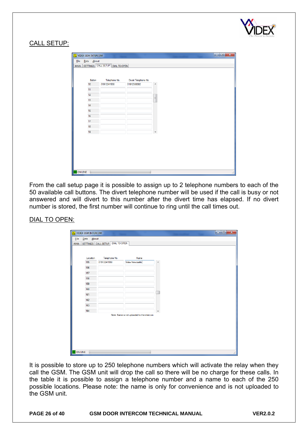

### CALL SETUP:

| VIDEX GSM INTERCOM        |                                    |                      |                          |
|---------------------------|------------------------------------|----------------------|--------------------------|
| Data About<br><b>File</b> |                                    |                      |                          |
| <b>MAIN</b>               | SETTINGS CALL SETUP   DIAL TO OPEN |                      |                          |
|                           |                                    |                      |                          |
| Button                    | Telephone No.                      | Divert Telephone No. |                          |
| 10                        | 01912241558                        | 01912388302          | ▲                        |
| 11                        |                                    |                      |                          |
| 12                        |                                    |                      |                          |
| 13                        |                                    |                      | Ξ                        |
| 14                        |                                    |                      |                          |
| 15                        |                                    |                      |                          |
| 16                        |                                    |                      |                          |
| 17 <sub>17</sub>          |                                    |                      |                          |
| $18$                      |                                    |                      |                          |
| 19                        |                                    |                      | $\overline{\phantom{a}}$ |
|                           |                                    |                      |                          |
|                           |                                    |                      |                          |
|                           |                                    |                      |                          |
|                           |                                    |                      |                          |
|                           |                                    |                      |                          |
|                           |                                    |                      |                          |
| <b>ON LINE</b>            |                                    |                      | лì.                      |

From the call setup page it is possible to assign up to 2 telephone numbers to each of the 50 available call buttons. The divert telephone number will be used if the call is busy or not answered and will divert to this number after the divert time has elapsed. If no divert number is stored, the first number will continue to ring until the call times out.

#### DIAL TO OPEN:

| Telephone No.<br>Location<br>155<br><b>Videx Newcastle</b><br>01912241558<br>$\blacktriangle$<br>156<br>157<br>158<br>159<br>160<br>161<br>162<br>163<br>164<br>$\overline{\phantom{a}}$<br>Note: Name is not uploaded to the intercom |  | Name |  |
|----------------------------------------------------------------------------------------------------------------------------------------------------------------------------------------------------------------------------------------|--|------|--|
|                                                                                                                                                                                                                                        |  |      |  |
|                                                                                                                                                                                                                                        |  |      |  |
|                                                                                                                                                                                                                                        |  |      |  |
|                                                                                                                                                                                                                                        |  |      |  |
|                                                                                                                                                                                                                                        |  |      |  |
|                                                                                                                                                                                                                                        |  |      |  |
|                                                                                                                                                                                                                                        |  |      |  |
|                                                                                                                                                                                                                                        |  |      |  |
|                                                                                                                                                                                                                                        |  |      |  |
|                                                                                                                                                                                                                                        |  |      |  |
|                                                                                                                                                                                                                                        |  |      |  |
|                                                                                                                                                                                                                                        |  |      |  |
|                                                                                                                                                                                                                                        |  |      |  |
|                                                                                                                                                                                                                                        |  |      |  |

It is possible to store up to 250 telephone numbers which will activate the relay when they call the GSM. The GSM unit will drop the call so there will be no charge for these calls. In the table it is possible to assign a telephone number and a name to each of the 250 possible locations. Please note: the name is only for convenience and is not uploaded to the GSM unit.

**PAGE 26 of 40 GSM DOOR INTERCOM TECHNICAL MANUAL VER2.0.2**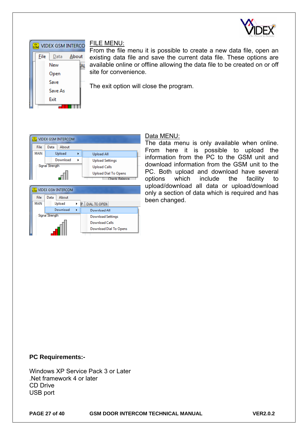



#### FILE MENU:

From the file menu it is possible to create a new data file, open an existing data file and save the current data file. These options are available online or offline allowing the data file to be created on or off site for convenience.

The exit option will close the program.

| VIDEX GSM INTERCOM |                 |                    |    |                             |
|--------------------|-----------------|--------------------|----|-----------------------------|
| <b>File</b>        | Data            | About              |    |                             |
| MAIN               |                 | Upload             | ٠  | <b>Upload All</b>           |
|                    |                 | Download           |    | <b>Upload Settings</b>      |
|                    | Signal Strength |                    |    | <b>Upload Calls</b>         |
|                    |                 |                    |    | <b>Upload Dial To Opens</b> |
|                    |                 |                    |    | heck Ralance                |
|                    |                 |                    |    |                             |
|                    |                 | VIDEX GSM INTERCOM |    |                             |
| File               | Data            | About              |    |                             |
| <b>MAIN</b>        |                 | Upload             | ΙP | <b>DIAL TO OPEN</b>         |
|                    |                 | Download           | ¥  | Download All                |
|                    | Signal Strength |                    |    | <b>Download Settings</b>    |
|                    |                 |                    |    | <b>Download Calls</b>       |

#### Data MENU:

The data menu is only available when online. From here it is possible to upload the information from the PC to the GSM unit and download information from the GSM unit to the PC. Both upload and download have several options which include the facility to upload/download all data or upload/download only a section of data which is required and has been changed.

#### **PC Requirements:-**

Windows XP Service Pack 3 or Later .Net framework 4 or later CD Drive USB port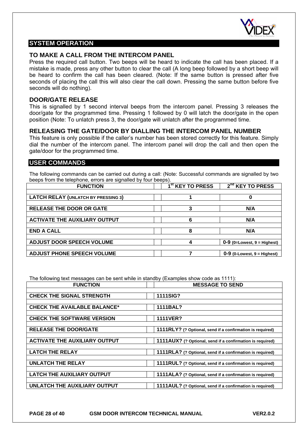

#### **SYSTEM OPERATION**

#### **TO MAKE A CALL FROM THE INTERCOM PANEL**

Press the required call button. Two beeps will be heard to indicate the call has been placed. If a mistake is made, press any other button to clear the call (A long beep followed by a short beep will be heard to confirm the call has been cleared. (Note: If the same button is pressed after five seconds of placing the call this will also clear the call down. Pressing the same button before five seconds will do nothing).

#### **DOOR/GATE RELEASE**

This is signalled by 1 second interval beeps from the intercom panel. Pressing 3 releases the door/gate for the programmed time. Pressing 1 followed by 0 will latch the door/gate in the open position (Note: To unlatch press 3, the door/gate will unlatch after the programmed time.

#### **RELEASING THE GATE/DOOR BY DIALLING THE INTERCOM PANEL NUMBER**

This feature is only possible if the caller's number has been stored correctly for this feature. Simply dial the number of the intercom panel. The intercom panel will drop the call and then open the gate/door for the programmed time.

#### **USER COMMANDS**

The following commands can be carried out during a call: (Note: Successful commands are signalled by two beeps from the telephone, errors are signalled by four beeps).

| <b>FUNCTION</b>                            | 1 <sup>st</sup> KEY TO PRESS | 2 <sup>nd</sup> KEY TO PRESS  |
|--------------------------------------------|------------------------------|-------------------------------|
|                                            |                              |                               |
| <b>LATCH RELAY (UNLATCH BY PRESSING 3)</b> |                              |                               |
|                                            |                              |                               |
| <b>RELEASE THE DOOR OR GATE</b>            | 3                            | N/A                           |
|                                            |                              |                               |
| <b>ACTIVATE THE AUXILIARY OUTPUT</b>       | 6                            | N/A                           |
|                                            |                              |                               |
| <b>END A CALL</b>                          | 8                            | N/A                           |
|                                            |                              |                               |
| <b>ADJUST DOOR SPEECH VOLUME</b>           | 4                            | $0-9$ (0=Lowest, 9 = Highest) |
|                                            |                              |                               |
| <b>ADJUST PHONE SPEECH VOLUME</b>          |                              | $0-9$ (0-Lowest, 9 = Highest) |

The following text messages can be sent while in standby (Examples show code as 1111):

| <b>FUNCTION</b>                      | <b>MESSAGE TO SEND</b>                                    |
|--------------------------------------|-----------------------------------------------------------|
|                                      |                                                           |
| <b>CHECK THE SIGNAL STRENGTH</b>     | 1111SIG?                                                  |
|                                      |                                                           |
| <b>CHECK THE AVAILABLE BALANCE*</b>  | 1111BAL?                                                  |
|                                      |                                                           |
| <b>CHECK THE SOFTWARE VERSION</b>    | <b>1111VER?</b>                                           |
|                                      |                                                           |
| <b>RELEASE THE DOOR/GATE</b>         | 1111RLY? (? Optional, send if a confirmation is required) |
|                                      |                                                           |
| <b>ACTIVATE THE AUXILIARY OUTPUT</b> | 1111AUX? (? Optional, send if a confirmation is required) |
|                                      |                                                           |
| <b>LATCH THE RELAY</b>               | 1111RLA? (? Optional, send if a confirmation is required) |
|                                      |                                                           |
| <b>UNLATCH THE RELAY</b>             | 1111RUL? (? Optional, send if a confirmation is required) |
|                                      |                                                           |
| <b>LATCH THE AUXILIARY OUTPUT</b>    | 1111ALA? (? Optional, send if a confirmation is required) |
|                                      |                                                           |
| <b>UNLATCH THE AUXILIARY OUTPUT</b>  | 1111AUL? (? Optional, send if a confirmation is required) |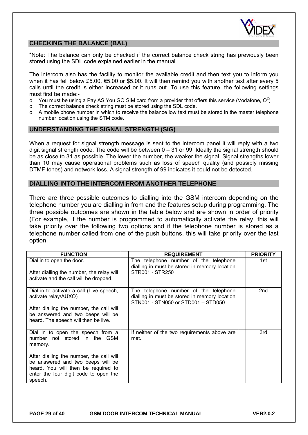

#### **CHECKING THE BALANCE (BAL)**

\*Note: The balance can only be checked if the correct balance check string has previously been stored using the SDL code explained earlier in the manual.

The intercom also has the facility to monitor the available credit and then text you to inform you when it has fell below £5.00, €5.00 or \$5.00. It will then remind you with another text after every 5 calls until the credit is either increased or it runs out. To use this feature, the following settings must first be made:-

- $\circ$  You must be using a Pay AS You GO SIM card from a provider that offers this service (Vodafone, O<sup>2</sup>)
- o The correct balance check string must be stored using the SDL code.
- $\circ$  A mobile phone number in which to receive the balance low text must be stored in the master telephone number location using the STM code.

#### **UNDERSTANDING THE SIGNAL STRENGTH (SIG)**

When a request for signal strength message is sent to the intercom panel it will reply with a two digit signal strength code. The code will be between  $0 - 31$  or 99. Ideally the signal strength should be as close to 31 as possible. The lower the number, the weaker the signal. Signal strengths lower than 10 may cause operational problems such as loss of speech quality (and possibly missing DTMF tones) and network loss. A signal strength of 99 indicates it could not be detected.

#### **DIALLING INTO THE INTERCOM FROM ANOTHER TELEPHONE**

There are three possible outcomes to dialling into the GSM intercom depending on the telephone number you are dialling in from and the features setup during programming. The three possible outcomes are shown in the table below and are shown in order of priority (For example, if the number is programmed to automatically activate the relay, this will take priority over the following two options and if the telephone number is stored as a telephone number called from one of the push buttons, this will take priority over the last option.

| <b>FUNCTION</b>                                                                                                                                                                                                                                          | <b>REQUIREMENT</b>                                                                                                           | <b>PRIORITY</b> |
|----------------------------------------------------------------------------------------------------------------------------------------------------------------------------------------------------------------------------------------------------------|------------------------------------------------------------------------------------------------------------------------------|-----------------|
| Dial in to open the door.<br>After dialling the number, the relay will<br>activate and the call will be dropped.                                                                                                                                         | The telephone number of the telephone<br>dialling in must be stored in memory location<br>STR001 - STR250                    | 1st             |
| Dial in to activate a call (Live speech,<br>activate relay/AUXO)<br>After dialling the number, the call will<br>be answered and two beeps will be<br>heard. The speech will then be live.                                                                | The telephone number of the telephone<br>dialling in must be stored in memory location<br>STN001 - STN050 or STD001 - STD050 | 2nd             |
| Dial in to open the speech from a<br>number not stored in the GSM<br>memory.<br>After dialling the number, the call will<br>be answered and two beeps will be<br>heard. You will then be required to<br>enter the four digit code to open the<br>speech. | If neither of the two requirements above are<br>met.                                                                         | 3rd             |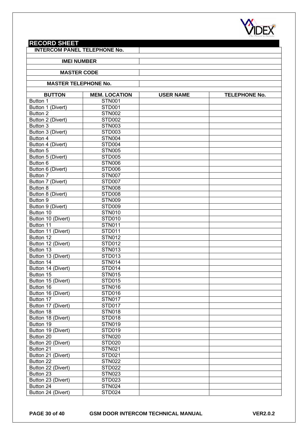

| <b>RECORD SHEET</b><br><b>INTERCOM PANEL TELEPHONE No.</b> |                      |                  |                      |  |
|------------------------------------------------------------|----------------------|------------------|----------------------|--|
|                                                            |                      |                  |                      |  |
| <b>IMEI NUMBER</b>                                         |                      |                  |                      |  |
|                                                            |                      |                  |                      |  |
| <b>MASTER CODE</b>                                         |                      |                  |                      |  |
|                                                            |                      |                  |                      |  |
| <b>MASTER TELEPHONE No.</b>                                |                      |                  |                      |  |
| <b>BUTTON</b>                                              | <b>MEM. LOCATION</b> | <b>USER NAME</b> | <b>TELEPHONE No.</b> |  |
| Button 1                                                   | <b>STN001</b>        |                  |                      |  |
| Button 1 (Divert)                                          | <b>STD001</b>        |                  |                      |  |
| Button 2                                                   | <b>STN002</b>        |                  |                      |  |
| Button 2 (Divert)                                          | <b>STD002</b>        |                  |                      |  |
| Button 3                                                   | <b>STN003</b>        |                  |                      |  |
| Button 3 (Divert)                                          | <b>STD003</b>        |                  |                      |  |
| Button 4                                                   | <b>STN004</b>        |                  |                      |  |
| Button 4 (Divert)                                          | <b>STD004</b>        |                  |                      |  |
| Button 5                                                   | <b>STN005</b>        |                  |                      |  |
| Button 5 (Divert)                                          | <b>STD005</b>        |                  |                      |  |
| Button 6                                                   | <b>STN006</b>        |                  |                      |  |
| Button 6 (Divert)                                          | STD006               |                  |                      |  |
| Button 7                                                   | <b>STN007</b>        |                  |                      |  |
| Button 7 (Divert)                                          | <b>STD007</b>        |                  |                      |  |
| Button 8                                                   | <b>STN008</b>        |                  |                      |  |
| Button 8 (Divert)                                          | <b>STD008</b>        |                  |                      |  |
| Button 9                                                   | <b>STN009</b>        |                  |                      |  |
| Button 9 (Divert)                                          | <b>STD009</b>        |                  |                      |  |
| Button 10                                                  | <b>STN010</b>        |                  |                      |  |
| Button 10 (Divert)                                         | <b>STD010</b>        |                  |                      |  |
| Button 11                                                  | <b>STN011</b>        |                  |                      |  |
| Button 11 (Divert)                                         | <b>STD011</b>        |                  |                      |  |
| Button 12                                                  | <b>STN012</b>        |                  |                      |  |
| Button 12 (Divert)                                         | <b>STD012</b>        |                  |                      |  |
| Button 13                                                  | <b>STN013</b>        |                  |                      |  |
| Button 13 (Divert)                                         | <b>STD013</b>        |                  |                      |  |
| Button 14                                                  | <b>STN014</b>        |                  |                      |  |
| Button 14 (Divert)                                         | <b>STD014</b>        |                  |                      |  |
| Button 15                                                  | <b>STN015</b>        |                  |                      |  |
| Button 15 (Divert)                                         | <b>STD015</b>        |                  |                      |  |
| Button 16                                                  | <b>STN016</b>        |                  |                      |  |
| Button 16 (Divert)                                         | STD016               |                  |                      |  |
| Button 17                                                  | <b>STN017</b>        |                  |                      |  |
| Button 17 (Divert)                                         | <b>STD017</b>        |                  |                      |  |
| Button 18                                                  | <b>STN018</b>        |                  |                      |  |
| Button 18 (Divert)                                         | <b>STD018</b>        |                  |                      |  |
| Button 19                                                  | <b>STN019</b>        |                  |                      |  |
| Button 19 (Divert)                                         | <b>STD019</b>        |                  |                      |  |
| Button 20                                                  | <b>STN020</b>        |                  |                      |  |
| Button 20 (Divert)                                         | <b>STD020</b>        |                  |                      |  |
| Button 21                                                  | <b>STN021</b>        |                  |                      |  |
| Button 21 (Divert)                                         | STD021               |                  |                      |  |
| Button 22                                                  | <b>STN022</b>        |                  |                      |  |
| Button 22 (Divert)                                         | <b>STD022</b>        |                  |                      |  |
| Button 23                                                  | <b>STN023</b>        |                  |                      |  |
| Button 23 (Divert)                                         | STD023               |                  |                      |  |
| Button 24                                                  | <b>STN024</b>        |                  |                      |  |
| Button 24 (Divert)                                         | STD024               |                  |                      |  |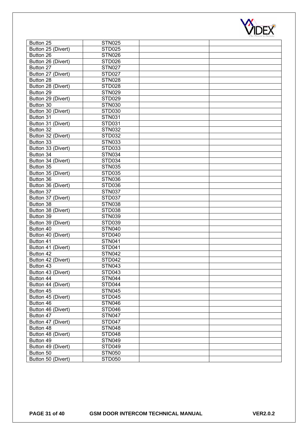

| Button 25          | <b>STN025</b> |  |
|--------------------|---------------|--|
| Button 25 (Divert) | <b>STD025</b> |  |
| Button 26          | <b>STN026</b> |  |
| Button 26 (Divert) | STD026        |  |
| Button 27          | <b>STN027</b> |  |
| Button 27 (Divert) | STD027        |  |
| Button 28          | <b>STN028</b> |  |
| Button 28 (Divert) | <b>STD028</b> |  |
| Button 29          | <b>STN029</b> |  |
| Button 29 (Divert) | <b>STD029</b> |  |
| Button 30          | <b>STN030</b> |  |
| Button 30 (Divert) | STD030        |  |
| Button 31          | <b>STN031</b> |  |
| Button 31 (Divert) | STD031        |  |
| Button 32          | <b>STN032</b> |  |
| Button 32 (Divert) | <b>STD032</b> |  |
| Button 33          | <b>STN033</b> |  |
| Button 33 (Divert) | STD033        |  |
| Button 34          | <b>STN034</b> |  |
| Button 34 (Divert) | STD034        |  |
| Button 35          | <b>STN035</b> |  |
| Button 35 (Divert) | <b>STD035</b> |  |
| Button 36          | <b>STN036</b> |  |
| Button 36 (Divert) | STD036        |  |
| Button 37          | <b>STN037</b> |  |
| Button 37 (Divert) | STD037        |  |
| Button 38          | <b>STN038</b> |  |
| Button 38 (Divert) | STD038        |  |
| Button 39          | <b>STN039</b> |  |
| Button 39 (Divert) | STD039        |  |
| Button 40          | <b>STN040</b> |  |
| Button 40 (Divert) | <b>STD040</b> |  |
| Button 41          | <b>STN041</b> |  |
| Button 41 (Divert) | <b>STD041</b> |  |
| Button 42          | <b>STN042</b> |  |
| Button 42 (Divert) | <b>STD042</b> |  |
| Button 43          | STN043        |  |
| Button 43 (Divert) | <b>STD043</b> |  |
| Button 44          | STN044        |  |
| Button 44 (Divert) | STD044        |  |
| Button 45          | <b>STN045</b> |  |
| Button 45 (Divert) | <b>STD045</b> |  |
| Button 46          | <b>STN046</b> |  |
| Button 46 (Divert) | STD046        |  |
| Button 47          | <b>STN047</b> |  |
| Button 47 (Divert) | STD047        |  |
| Button 48          | <b>STN048</b> |  |
| Button 48 (Divert) | STD048        |  |
| Button 49          | <b>STN049</b> |  |
| Button 49 (Divert) | STD049        |  |
| Button 50          | <b>STN050</b> |  |
| Button 50 (Divert) | <b>STD050</b> |  |
|                    |               |  |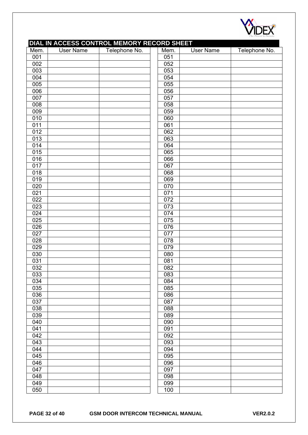

|      |                  | DIAL IN ACCESS CONTROL MEMORY RECORD SHEET |      |           |               |
|------|------------------|--------------------------------------------|------|-----------|---------------|
| Mem. | <b>User Name</b> | Telephone No.                              | Mem. | User Name | Telephone No. |
| 001  |                  |                                            | 051  |           |               |
| 002  |                  |                                            | 052  |           |               |
| 003  |                  |                                            | 053  |           |               |
| 004  |                  |                                            | 054  |           |               |
| 005  |                  |                                            | 055  |           |               |
| 006  |                  |                                            | 056  |           |               |
| 007  |                  |                                            | 057  |           |               |
| 008  |                  |                                            | 058  |           |               |
| 009  |                  |                                            | 059  |           |               |
| 010  |                  |                                            | 060  |           |               |
|      |                  |                                            | 061  |           |               |
| 011  |                  |                                            |      |           |               |
| 012  |                  |                                            | 062  |           |               |
| 013  |                  |                                            | 063  |           |               |
| 014  |                  |                                            | 064  |           |               |
| 015  |                  |                                            | 065  |           |               |
| 016  |                  |                                            | 066  |           |               |
| 017  |                  |                                            | 067  |           |               |
| 018  |                  |                                            | 068  |           |               |
| 019  |                  |                                            | 069  |           |               |
| 020  |                  |                                            | 070  |           |               |
| 021  |                  |                                            | 071  |           |               |
| 022  |                  |                                            | 072  |           |               |
| 023  |                  |                                            | 073  |           |               |
| 024  |                  |                                            | 074  |           |               |
| 025  |                  |                                            | 075  |           |               |
| 026  |                  |                                            | 076  |           |               |
| 027  |                  |                                            | 077  |           |               |
| 028  |                  |                                            | 078  |           |               |
| 029  |                  |                                            | 079  |           |               |
| 030  |                  |                                            | 080  |           |               |
| 031  |                  |                                            | 081  |           |               |
| 032  |                  |                                            | 082  |           |               |
| 033  |                  |                                            | 083  |           |               |
| 034  |                  |                                            | 084  |           |               |
| 035  |                  |                                            | 085  |           |               |
| 036  |                  |                                            | 086  |           |               |
| 037  |                  |                                            | 087  |           |               |
|      |                  |                                            |      |           |               |
| 038  |                  |                                            | 088  |           |               |
| 039  |                  |                                            | 089  |           |               |
| 040  |                  |                                            | 090  |           |               |
| 041  |                  |                                            | 091  |           |               |
| 042  |                  |                                            | 092  |           |               |
| 043  |                  |                                            | 093  |           |               |
| 044  |                  |                                            | 094  |           |               |
| 045  |                  |                                            | 095  |           |               |
| 046  |                  |                                            | 096  |           |               |
| 047  |                  |                                            | 097  |           |               |
| 048  |                  |                                            | 098  |           |               |
| 049  |                  |                                            | 099  |           |               |
| 050  |                  |                                            | 100  |           |               |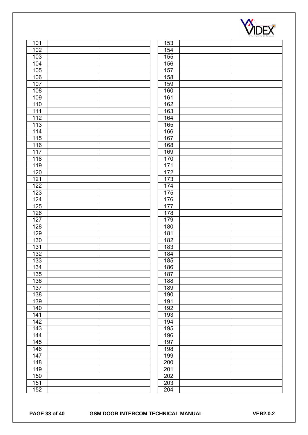

| 101               | 153              |
|-------------------|------------------|
| 102               | 154              |
| 103               | 155              |
| 104               | 156              |
| 105               | 157              |
| 106               | 158              |
| 107               | 159              |
| 108               | 160              |
| 109               | 161              |
| 110               | 162              |
| $\overline{111}$  | 163              |
| $\overline{112}$  | 164              |
| $\overline{113}$  | 165              |
| $\frac{114}{114}$ | 166              |
| 115               | 167              |
| 116               | 168              |
| 117               | 169              |
| 118               | 170              |
| 119               | 171              |
| 120               | 172              |
| 121               | 173              |
| 122               | 174              |
| 123               | 175              |
| 124               | 176              |
| 125               | 177              |
| 126               | 178              |
| 127               | 179              |
| 128               | 180              |
| 129               | 181              |
| 130               | 182              |
| 131               | 183              |
| $\overline{132}$  | 184              |
| 133               | $\frac{185}{ }$  |
| 134               | 186              |
| 135               | 187              |
| 136               | 188              |
| $\overline{137}$  | 189              |
| 138               | 190              |
| 139               | 191              |
| 140               | 192              |
| $\overline{141}$  | 193              |
| $\overline{142}$  | 194              |
| $\overline{143}$  | $\overline{195}$ |
| 144               | 196              |
| 145               | 197              |
| 146               | 198              |
| 147               | 199              |
| 148               | 200              |
| 149               |                  |
|                   | 201<br>202       |
| 150               |                  |
| 151               | 203              |
| 152               | 204              |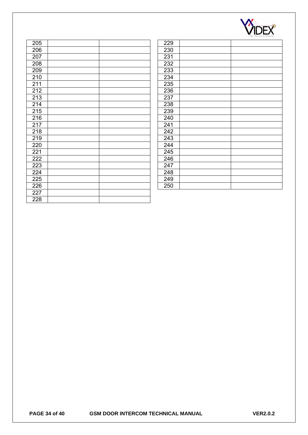

| 205 | 229 |
|-----|-----|
| 206 | 230 |
| 207 | 231 |
| 208 | 232 |
| 209 | 233 |
| 210 | 234 |
| 211 | 235 |
| 212 | 236 |
| 213 | 237 |
| 214 | 238 |
| 215 | 239 |
| 216 | 240 |
| 217 | 241 |
| 218 | 242 |
| 219 | 243 |
| 220 | 244 |
| 221 | 245 |
| 222 | 246 |
| 223 | 247 |
| 224 | 248 |
| 225 | 249 |
| 226 | 250 |
| 227 |     |
| 228 |     |

| 229 |  |
|-----|--|
| 230 |  |
| 231 |  |
| 232 |  |
| 233 |  |
| 234 |  |
| 235 |  |
| 236 |  |
| 237 |  |
| 238 |  |
| 239 |  |
| 240 |  |
| 241 |  |
| 242 |  |
| 243 |  |
| 244 |  |
| 245 |  |
| 246 |  |
| 247 |  |
| 248 |  |
| 249 |  |
| 250 |  |
|     |  |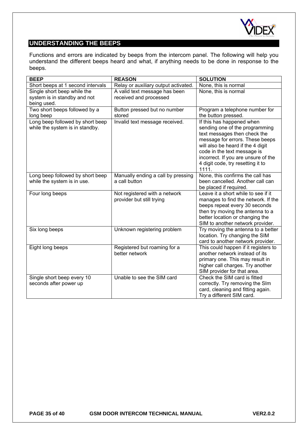

# **UNDERSTANDING THE BEEPS**

Functions and errors are indicated by beeps from the intercom panel. The following will help you understand the different beeps heard and what, if anything needs to be done in response to the beeps.

| <b>BEEP</b>                                                                | <b>REASON</b>                                              | <b>SOLUTION</b>                                                                                                                                                                                                                                                                         |
|----------------------------------------------------------------------------|------------------------------------------------------------|-----------------------------------------------------------------------------------------------------------------------------------------------------------------------------------------------------------------------------------------------------------------------------------------|
| Short beeps at 1 second intervals                                          | Relay or auxiliary output activated.                       | None, this is normal                                                                                                                                                                                                                                                                    |
| Single short beep while the<br>system is in standby and not<br>being used. | A valid text message has been<br>received and processed    | None, this is normal                                                                                                                                                                                                                                                                    |
| Two short beeps followed by a<br>long beep                                 | Button pressed but no number<br>stored                     | Program a telephone number for<br>the button pressed.                                                                                                                                                                                                                                   |
| Long beep followed by short beep<br>while the system is in standby.        | Invalid text message received.                             | If this has happened when<br>sending one of the programming<br>text messages then check the<br>message for errors. These beeps<br>will also be heard if the 4 digit<br>code in the text message is<br>incorrect. If you are unsure of the<br>4 digit code, try resetting it to<br>1111. |
| Long beep followed by short beep<br>while the system is in use.            | Manually ending a call by pressing<br>a call button        | None, this confirms the call has<br>been cancelled. Another call can<br>be placed if required.                                                                                                                                                                                          |
| Four long beeps                                                            | Not registered with a network<br>provider but still trying | Leave it a short while to see if it<br>manages to find the network. If the<br>beeps repeat every 30 seconds<br>then try moving the antenna to a<br>better location or changing the<br>SIM to another network provider.                                                                  |
| Six long beeps                                                             | Unknown registering problem                                | Try moving the antenna to a better<br>location. Try changing the SIM<br>card to another network provider.                                                                                                                                                                               |
| Eight long beeps                                                           | Registered but roaming for a<br>better network             | This could happen if it registers to<br>another network instead of its<br>primary one. This may result in<br>higher call charges. Try another<br>SIM provider for that area.                                                                                                            |
| Single short beep every 10<br>seconds after power up                       | Unable to see the SIM card                                 | Check the SIM card is fitted<br>correctly. Try removing the SIm<br>card, cleaning and fitting again.<br>Try a different SIM card.                                                                                                                                                       |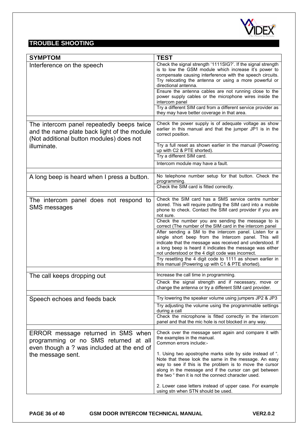

# **TROUBLE SHOOTING**

| <b>SYMPTOM</b>                                                                                                                                      | <b>TEST</b>                                                                                                                                                                                                                                                                                                                                               |
|-----------------------------------------------------------------------------------------------------------------------------------------------------|-----------------------------------------------------------------------------------------------------------------------------------------------------------------------------------------------------------------------------------------------------------------------------------------------------------------------------------------------------------|
| Interference on the speech                                                                                                                          | Check the signal strength '1111SIG?'. If the signal strength<br>is to low the GSM module which increase it's power to<br>compensate causing interference with the speech circuits.<br>Try relocating the antenna or using a more powerful or<br>directional antenna.                                                                                      |
|                                                                                                                                                     | Ensure the antenna cables are not running close to the<br>power supply cables or the microphone wires inside the<br>intercom panel                                                                                                                                                                                                                        |
|                                                                                                                                                     | Try a different SIM card from a different service provider as<br>they may have better coverage in that area.                                                                                                                                                                                                                                              |
| The intercom panel repeatedly beeps twice<br>and the name plate back light of the module<br>(Not additional button modules) does not<br>illuminate. | Check the power supply is of adequate voltage as show<br>earlier in this manual and that the jumper JP1 is in the<br>correct position.                                                                                                                                                                                                                    |
|                                                                                                                                                     | Try a full reset as shown earlier in the manual (Powering<br>up with C2 & PTE shorted).                                                                                                                                                                                                                                                                   |
|                                                                                                                                                     | Try a different SIM card.                                                                                                                                                                                                                                                                                                                                 |
|                                                                                                                                                     | Intercom module may have a fault.                                                                                                                                                                                                                                                                                                                         |
| A long beep is heard when I press a button.                                                                                                         | No telephone number setup for that button. Check the<br>programming.                                                                                                                                                                                                                                                                                      |
|                                                                                                                                                     | Check the SIM card is fitted correctly.                                                                                                                                                                                                                                                                                                                   |
| The intercom panel does not respond to<br>SMS messages                                                                                              | Check the SIM card has a SMS service centre number<br>stored. This will require putting the SIM card into a mobile<br>phone to check. Contact the SIM card provider if you are<br>not sure.<br>Check the number you are sending the message to is                                                                                                         |
|                                                                                                                                                     | correct (The number of the SIM card in the intercom panel<br>After sending a SM to the intercom panel. Listen for a<br>single short beep from the Intercom panel. This will<br>indicate that the message was received and understood. If<br>a long beep is heard it indicates the message was either<br>not understood or the 4 digit code was incorrect. |
|                                                                                                                                                     | Try resetting the 4 digit code to 1111 as shown earlier in<br>this manual (Powering up with C1 & PTE shorted).                                                                                                                                                                                                                                            |
| The call keeps dropping out                                                                                                                         | Increase the call time in programming.                                                                                                                                                                                                                                                                                                                    |
|                                                                                                                                                     | Check the signal strength and if necessary, move or<br>change the antenna or try a different SIM card provider.                                                                                                                                                                                                                                           |
| Speech echoes and feeds back                                                                                                                        | Try lowering the speaker volume using jumpers JP2 & JP3                                                                                                                                                                                                                                                                                                   |
|                                                                                                                                                     | Try adjusting the volume using the programmable settings<br>during a call<br>Check the microphone is fitted correctly in the intercom                                                                                                                                                                                                                     |
|                                                                                                                                                     | panel and that the mic hole is not blocked in any way.                                                                                                                                                                                                                                                                                                    |
| ERROR message returned in SMS when<br>programming or no SMS returned at all<br>even though a ? was included at the end of<br>the message sent.      | Check over the message sent again and compare it with<br>the examples in the manual.<br>Common errors include:-                                                                                                                                                                                                                                           |
|                                                                                                                                                     | 1. Using two apostrophe marks side by side instead of ".<br>Note that these look the same in the message. An easy<br>way to see if this is the problem is to move the cursor<br>along in the message and if the cursor can get between<br>the two "then it is not the connect character used.                                                             |
|                                                                                                                                                     | 2. Lower case letters instead of upper case. For example<br>using stn when STN should be used.                                                                                                                                                                                                                                                            |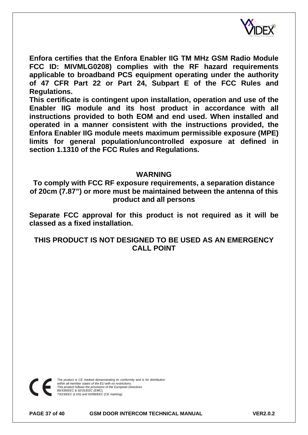

**Enfora certifies that the Enfora Enabler IIG TM MHz GSM Radio Module FCC ID: MIVMLG0208) complies with the RF hazard requirements applicable to broadband PCS equipment operating under the authority of 47 CFR Part 22 or Part 24, Subpart E of the FCC Rules and Regulations.** 

**This certificate is contingent upon installation, operation and use of the Enabler IIG module and its host product in accordance with all instructions provided to both EOM and end used. When installed and operated in a manner consistent with the instructions provided, the Enfora Enabler IIG module meets maximum permissible exposure (MPE) limits for general population/uncontrolled exposure at defined in section 1.1310 of the FCC Rules and Regulations.** 

# **WARNING**

**To comply with FCC RF exposure requirements, a separation distance of 20cm (7.87") or more must be maintained between the antenna of this product and all persons** 

**Separate FCC approval for this product is not required as it will be classed as a fixed installation.** 

**THIS PRODUCT IS NOT DESIGNED TO BE USED AS AN EMERGENCY CALL POINT** 



*The product is CE marked demonstrating its conformity and is for distribution within all member states of the EU with no restrictions. This product follows the provisions of the European Directives 89/336/EEC & 92/31/EEC (EMC), 73/23/EEC (LVD) and 93/68/EEC (CE marking).*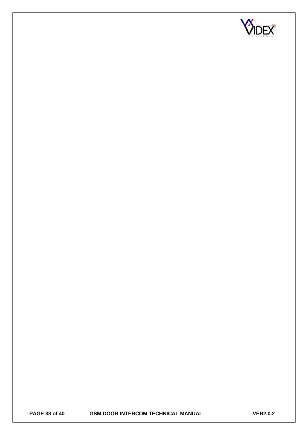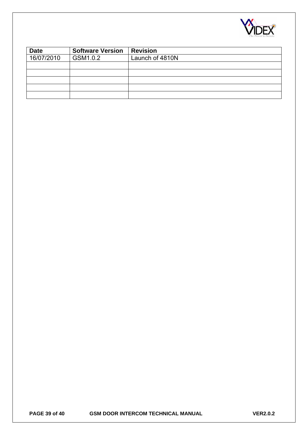

| <b>Date</b> | <b>Software Version</b> | <b>Revision</b> |
|-------------|-------------------------|-----------------|
| 16/07/2010  | GSM1.0.2                | Launch of 4810N |
|             |                         |                 |
|             |                         |                 |
|             |                         |                 |
|             |                         |                 |
|             |                         |                 |